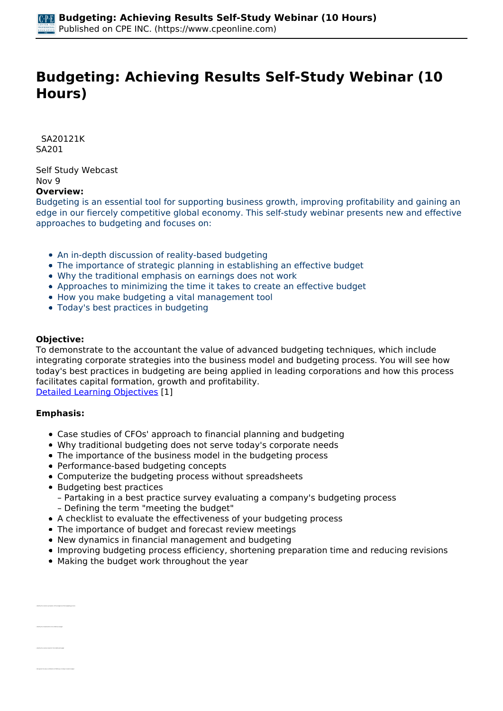# **Budgeting: Achieving Results Self-Study Webinar (10 Hours)**

 *SA20121K SA201* 

*Self Study Webcast Nov 9*  **Overview:** 

*Budgeting is an essential tool for supporting business growth, improving profitability and gaining an edge in our fiercely competitive global economy. This self-study webinar presents new and effective approaches to budgeting and focuses on:*

- *An in-depth discussion of reality-based budgeting*
- *The importance of strategic planning in establishing an effective budget*
- *Why the traditional emphasis on earnings does not work*
- *Approaches to minimizing the time it takes to create an effective budget*
- *How you make budgeting a vital management tool*
- *Today's best practices in budgeting*

#### **Objective:**

*To demonstrate to the accountant the value of advanced budgeting techniques, which include integrating corporate strategies into the business model and budgeting process. You will see how today's best practices in budgeting are being applied in leading corporations and how this process facilitates capital formation, growth and profitability.*

*[Detailed Learning Objectives](https://www.cpeonline.com/JavaScript:showObjectivesPopup();) [1]*

#### **Emphasis:**

*• Identify the characteristics of an effective budget*

- *Case studies of CFOs' approach to financial planning and budgeting*
- *Why traditional budgeting does not serve today's corporate needs*
- *The importance of the business model in the budgeting process*
- *Performance-based budgeting concepts*
- *Computerize the budgeting process without spreadsheets*
- *Budgeting best practices* 
	- *Partaking in a best practice survey evaluating a company's budgeting process*
	- *Defining the term "meeting the budget"*
- *A checklist to evaluate the effectiveness of your budgeting process*
- *The importance of budget and forecast review meetings*
- *New dynamics in financial management and budgeting*
- *Improving budgeting process efficiency, shortening preparation time and reducing revisions*
- *Making the budget work throughout the year*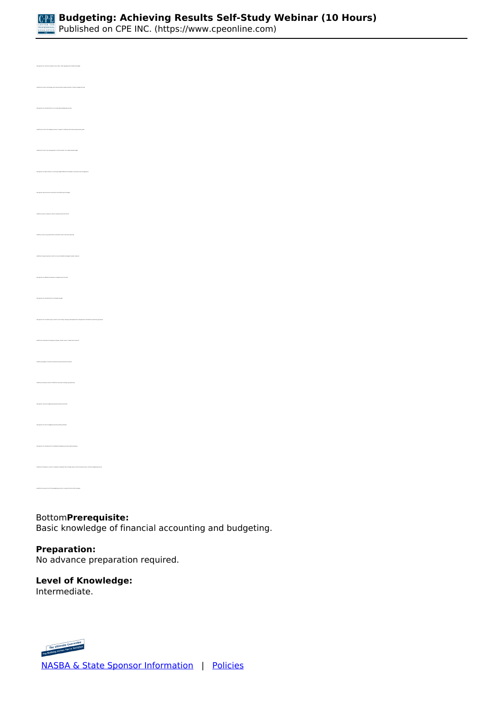

*• Recognize the characteristics of a results-based budgeting process • Identify the role of the budget process in respect to defining and measuring business goals • Recognize the ideal solution to resolving budget differences between executives and management • Identify common measures used to evaluate financial metrics • Identify common key performance indicators used in business planning • Recognize the differences between a budget and a forecast • Recognize the characteristics of a flexible budget • Identify the methods of analyzing company results under a "balanced scorecard" • Identify the primary results of effective top-down strategic goal planning • Recognize common budgeting and planning best practices • Identify the frequency in which companies integrate their strategic plans, tactical business plans, and the budgeting process • Identify the annual cost of the budgeting process in a typical Fortune 500 company*

*Bottom***Prerequisite:**  *Basic knowledge of financial accounting and budgeting.*

**Preparation:**  *No advance preparation required.*

## **Level of Knowledge:**

*Intermediate.*